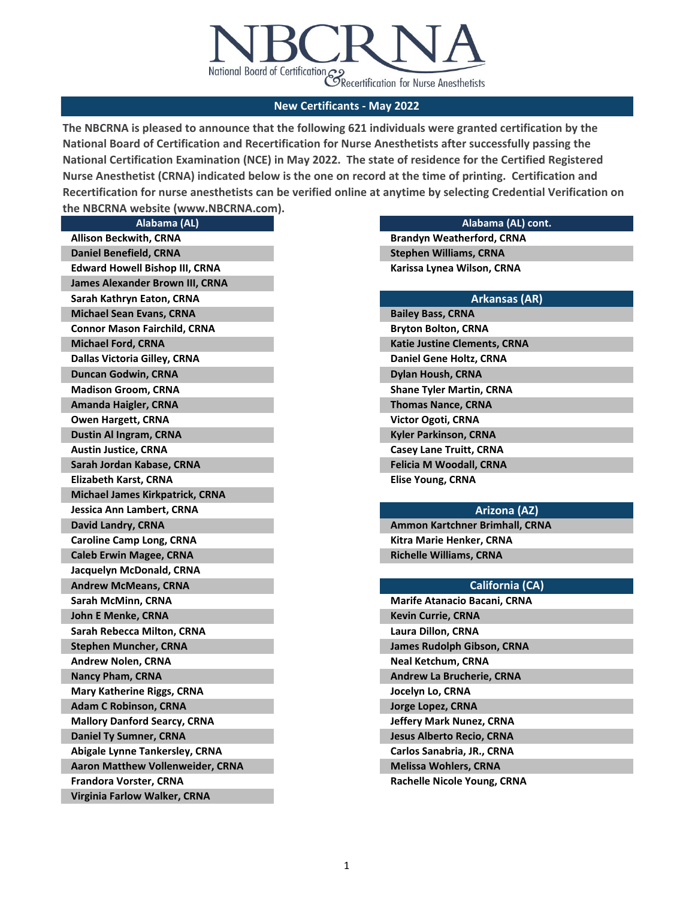

**The NBCRNA is pleased to announce that the following 621 individuals were granted certification by the National Board of Certification and Recertification for Nurse Anesthetists after successfully passing the National Certification Examination (NCE) in May 2022. The state of residence for the Certified Registered Nurse Anesthetist (CRNA) indicated below is the one on record at the time of printing. Certification and Recertification for nurse anesthetists can be verified online at anytime by selecting Credential Verification on the NBCRNA website (www.NBCRNA.com).** 

|                                     | Alabama (AL)                          |  |
|-------------------------------------|---------------------------------------|--|
| <b>Allison Beckwith, CRNA</b>       |                                       |  |
| <b>Daniel Benefield, CRNA</b>       |                                       |  |
|                                     | <b>Edward Howell Bishop III, CRNA</b> |  |
|                                     | James Alexander Brown III, CRNA       |  |
| Sarah Kathryn Eaton, CRNA           |                                       |  |
| <b>Michael Sean Evans, CRNA</b>     |                                       |  |
| <b>Connor Mason Fairchild, CRNA</b> |                                       |  |
| <b>Michael Ford, CRNA</b>           |                                       |  |
| Dallas Victoria Gilley, CRNA        |                                       |  |
| <b>Duncan Godwin, CRNA</b>          |                                       |  |
| <b>Madison Groom, CRNA</b>          |                                       |  |
| Amanda Haigler, CRNA                |                                       |  |
| <b>Owen Hargett, CRNA</b>           |                                       |  |
| <b>Dustin Al Ingram, CRNA</b>       |                                       |  |
| <b>Austin Justice, CRNA</b>         |                                       |  |
| Sarah Jordan Kabase, CRNA           |                                       |  |
| <b>Elizabeth Karst, CRNA</b>        |                                       |  |
|                                     | Michael James Kirkpatrick, CRNA       |  |
| Jessica Ann Lambert, CRNA           |                                       |  |
| David Landry, CRNA                  |                                       |  |
| <b>Caroline Camp Long, CRNA</b>     |                                       |  |
| <b>Caleb Erwin Magee, CRNA</b>      |                                       |  |
| Jacquelyn McDonald, CRNA            |                                       |  |
| <b>Andrew McMeans, CRNA</b>         |                                       |  |
| Sarah McMinn, CRNA                  |                                       |  |
| <b>John E Menke, CRNA</b>           |                                       |  |
| Sarah Rebecca Milton, CRNA          |                                       |  |
| <b>Stephen Muncher, CRNA</b>        |                                       |  |
| <b>Andrew Nolen, CRNA</b>           |                                       |  |
| Nancy Pham, CRNA                    |                                       |  |
| <b>Mary Katherine Riggs, CRNA</b>   |                                       |  |
| <b>Adam C Robinson, CRNA</b>        |                                       |  |
| <b>Mallory Danford Searcy, CRNA</b> |                                       |  |
| <b>Daniel Ty Sumner, CRNA</b>       |                                       |  |
|                                     | <b>Abigale Lynne Tankersley, CRNA</b> |  |
|                                     | Aaron Matthew Vollenweider, CRNA      |  |
| <b>Frandora Vorster, CRNA</b>       |                                       |  |
| Virginia Farlow Walker, CRNA        |                                       |  |

### **Alabama (AL) cont.**

**Brandyn Weatherford, CRNA Karissa Lynea Wilson, CRNA Stephen Williams, CRNA**

| <b>Arkansas (AR)</b>                |
|-------------------------------------|
| <b>Bailey Bass, CRNA</b>            |
| Bryton Bolton, CRNA                 |
| <b>Katie Justine Clements, CRNA</b> |
| Daniel Gene Holtz, CRNA             |
| Dylan Housh, CRNA                   |
| Shane Tyler Martin, CRNA            |
| <b>Thomas Nance, CRNA</b>           |
| Victor Ogoti, CRNA                  |
| Kyler Parkinson, CRNA               |
| <b>Casey Lane Truitt, CRNA</b>      |
| Felicia M Woodall, CRNA             |
| Elise Young, CRNA                   |

### **Arizona (AZ)**

**Ammon Kartchner Brimhall, CRNA Kitra Marie Henker, CRNA Richelle Williams, CRNA**

## **California (CA)**

| <b>Marife Atanacio Bacani, CRNA</b> |
|-------------------------------------|
| <b>Kevin Currie, CRNA</b>           |
| Laura Dillon, CRNA                  |
| James Rudolph Gibson, CRNA          |
| Neal Ketchum, CRNA                  |
| <b>Andrew La Brucherie, CRNA</b>    |
| Jocelyn Lo, CRNA                    |
| Jorge Lopez, CRNA                   |
| <b>Jeffery Mark Nunez, CRNA</b>     |
| <b>Jesus Alberto Recio, CRNA</b>    |
| Carlos Sanabria, JR., CRNA          |
| <b>Melissa Wohlers, CRNA</b>        |
| Rachelle Nicole Young, CRNA         |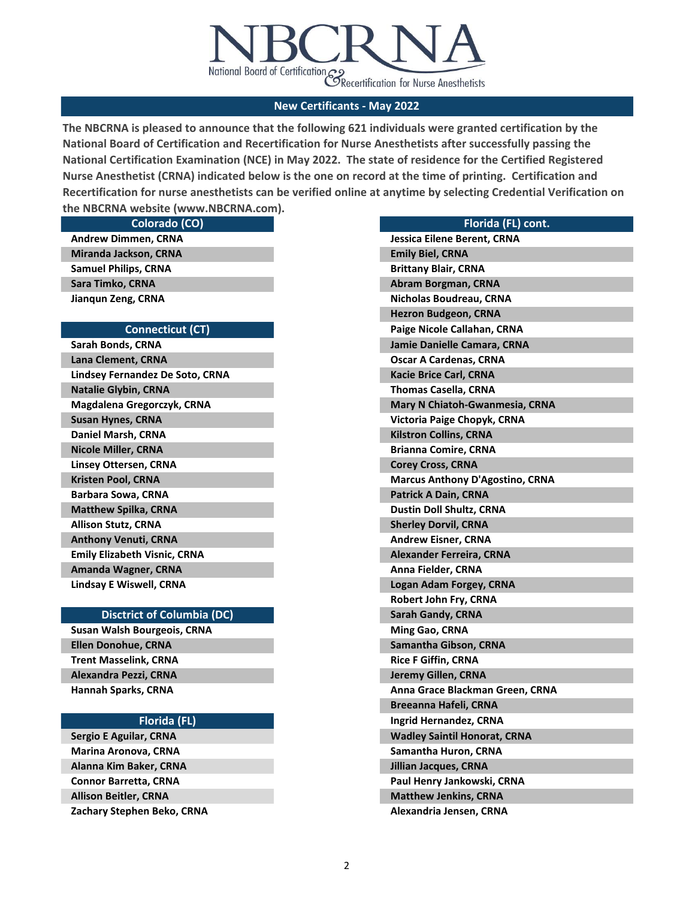

**The NBCRNA is pleased to announce that the following 621 individuals were granted certification by the National Board of Certification and Recertification for Nurse Anesthetists after successfully passing the National Certification Examination (NCE) in May 2022. The state of residence for the Certified Registered Nurse Anesthetist (CRNA) indicated below is the one on record at the time of printing. Certification and Recertification for nurse anesthetists can be verified online at anytime by selecting Credential Verification on the NBCRNA website (www.NBCRNA.com).** 

**Colorado (CO)**

**Andrew Dimmen, CRNA Sara Timko, CRNA Jianqun Zeng, CRNA Miranda Jackson, CRNA Samuel Philips, CRNA**

#### **Connecticut (CT)**

**Sarah Bonds, CRNA Lana Clement, CRNA Lindsey Fernandez De Soto, CRNA Linsey Ottersen, CRNA Kristen Pool, CRNA Barbara Sowa, CRNA Matthew Spilka, CRNA Allison Stutz, CRNA Natalie Glybin, CRNA Magdalena Gregorczyk, CRNA Susan Hynes, CRNA Daniel Marsh, CRNA Nicole Miller, CRNA Anthony Venuti, CRNA Emily Elizabeth Visnic, CRNA Amanda Wagner, CRNA Lindsay E Wiswell, CRNA**

#### **Disctrict of Columbia (DC)**

**Susan Walsh Bourgeois, CRNA Ellen Donohue, CRNA Trent Masselink, CRNA Alexandra Pezzi, CRNA Hannah Sparks, CRNA**

### **Florida (FL)**

**Sergio E Aguilar, CRNA Marina Aronova, CRNA Alanna Kim Baker, CRNA Connor Barretta, CRNA Allison Beitler, CRNA Zachary Stephen Beko, CRNA**

| Florida (FL) cont.                     |
|----------------------------------------|
| Jessica Eilene Berent, CRNA            |
| <b>Emily Biel, CRNA</b>                |
| <b>Brittany Blair, CRNA</b>            |
| Abram Borgman, CRNA                    |
| Nicholas Boudreau, CRNA                |
| <b>Hezron Budgeon, CRNA</b>            |
| Paige Nicole Callahan, CRNA            |
| Jamie Danielle Camara, CRNA            |
| <b>Oscar A Cardenas, CRNA</b>          |
| <b>Kacie Brice Carl, CRNA</b>          |
| <b>Thomas Casella, CRNA</b>            |
| Mary N Chiatoh-Gwanmesia, CRNA         |
| Victoria Paige Chopyk, CRNA            |
| <b>Kilstron Collins, CRNA</b>          |
| <b>Brianna Comire, CRNA</b>            |
| <b>Corey Cross, CRNA</b>               |
| <b>Marcus Anthony D'Agostino, CRNA</b> |
| <b>Patrick A Dain, CRNA</b>            |
| <b>Dustin Doll Shultz, CRNA</b>        |
| <b>Sherley Dorvil, CRNA</b>            |
| <b>Andrew Eisner, CRNA</b>             |
| <b>Alexander Ferreira, CRNA</b>        |
| Anna Fielder, CRNA                     |
| Logan Adam Forgey, CRNA                |
| <b>Robert John Fry, CRNA</b>           |
| <b>Sarah Gandy, CRNA</b>               |
| Ming Gao, CRNA                         |
| <b>Samantha Gibson, CRNA</b>           |
| <b>Rice F Giffin, CRNA</b>             |
| Jeremy Gillen, CRNA                    |
| Anna Grace Blackman Green, CRNA        |
| <b>Breeanna Hafeli, CRNA</b>           |
| Ingrid Hernandez, CRNA                 |
| <b>Wadley Saintil Honorat, CRNA</b>    |
| Samantha Huron, CRNA                   |
| <b>Jillian Jacques, CRNA</b>           |
| Paul Henry Jankowski, CRNA             |
| <b>Matthew Jenkins, CRNA</b>           |
| Alexandria Jensen, CRNA                |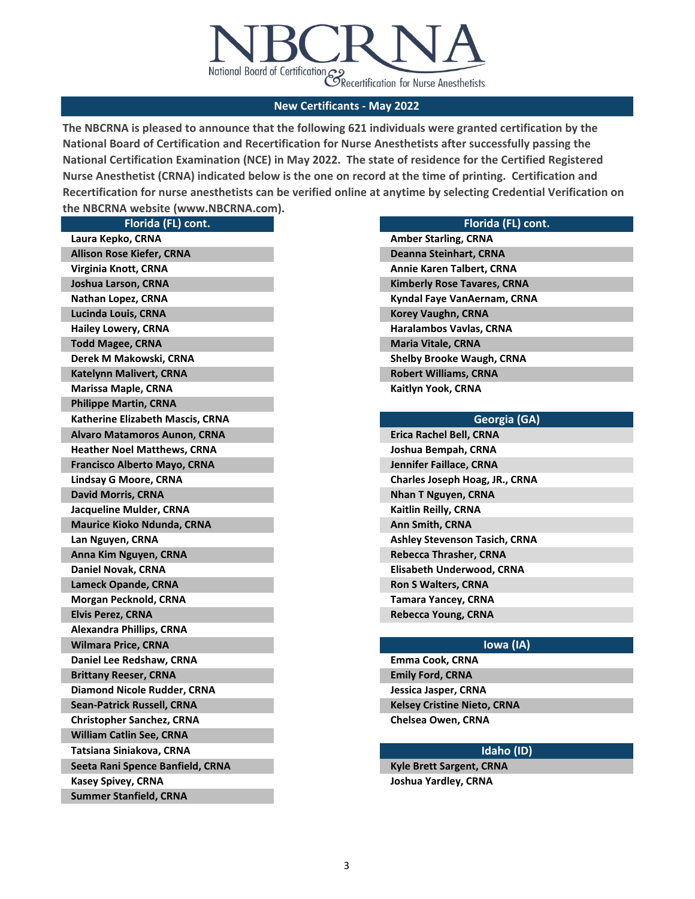

**The NBCRNA is pleased to announce that the following 621 individuals were granted certification by the National Board of Certification and Recertification for Nurse Anesthetists after successfully passing the National Certification Examination (NCE) in May 2022. The state of residence for the Certified Registered Nurse Anesthetist (CRNA) indicated below is the one on record at the time of printing. Certification and Recertification for nurse anesthetists can be verified online at anytime by selecting Credential Verification on the NBCRNA website (www.NBCRNA.com).** 

| Florida (FL) cont.                  |  |
|-------------------------------------|--|
| Laura Kepko, CRNA                   |  |
| <b>Allison Rose Kiefer, CRNA</b>    |  |
| Virginia Knott, CRNA                |  |
| Joshua Larson, CRNA                 |  |
| Nathan Lopez, CRNA                  |  |
| Lucinda Louis, CRNA                 |  |
| <b>Hailey Lowery, CRNA</b>          |  |
| <b>Todd Magee, CRNA</b>             |  |
| Derek M Makowski, CRNA              |  |
| <b>Katelynn Malivert, CRNA</b>      |  |
| <b>Marissa Maple, CRNA</b>          |  |
| <b>Philippe Martin, CRNA</b>        |  |
| Katherine Elizabeth Mascis, CRNA    |  |
| <b>Alvaro Matamoros Aunon, CRNA</b> |  |
| <b>Heather Noel Matthews, CRNA</b>  |  |
| <b>Francisco Alberto Mayo, CRNA</b> |  |
| Lindsay G Moore, CRNA               |  |
| <b>David Morris, CRNA</b>           |  |
| Jacqueline Mulder, CRNA             |  |
| <b>Maurice Kioko Ndunda, CRNA</b>   |  |
| Lan Nguyen, CRNA                    |  |
| Anna Kim Nguyen, CRNA               |  |
| Daniel Novak, CRNA                  |  |
| Lameck Opande, CRNA                 |  |
| Morgan Pecknold, CRNA               |  |
| <b>Elvis Perez, CRNA</b>            |  |
| Alexandra Phillips, CRNA            |  |
| <b>Wilmara Price, CRNA</b>          |  |
| Daniel Lee Redshaw, CRNA            |  |
| <b>Brittany Reeser, CRNA</b>        |  |
| <b>Diamond Nicole Rudder, CRNA</b>  |  |
| <b>Sean-Patrick Russell, CRNA</b>   |  |
| <b>Christopher Sanchez, CRNA</b>    |  |
| William Catlin See, CRNA            |  |
| Tatsiana Siniakova, CRNA            |  |
| Seeta Rani Spence Banfield, CRNA    |  |
| <b>Kasey Spivey, CRNA</b>           |  |
| <b>Summer Stanfield, CRNA</b>       |  |

| Florida (FL) cont. |  |
|--------------------|--|
|                    |  |

|  | Georgia (GA) |
|--|--------------|
|--|--------------|

| Erica Rachel Bell, CRNA              |
|--------------------------------------|
| Joshua Bempah, CRNA                  |
| Jennifer Faillace, CRNA              |
| Charles Joseph Hoag, JR., CRNA       |
| Nhan T Nguyen, CRNA                  |
| Kaitlin Reilly, CRNA                 |
| Ann Smith, CRNA                      |
| <b>Ashley Stevenson Tasich, CRNA</b> |
| Rebecca Thrasher, CRNA               |
| Elisabeth Underwood, CRNA            |
| <b>Ron S Walters, CRNA</b>           |
| Tamara Yancey, CRNA                  |
| Rebecca Young, CRNA                  |

## **Iowa (IA)**

**Emily Ford, CRNA Jessica Jasper, CRNA Kelsey Cristine Nieto, CRNA Chelsea Owen, CRNA Emma Cook, CRNA**

# **Idaho (ID)**

**Kyle Brett Sargent, CRNA Joshua Yardley, CRNA**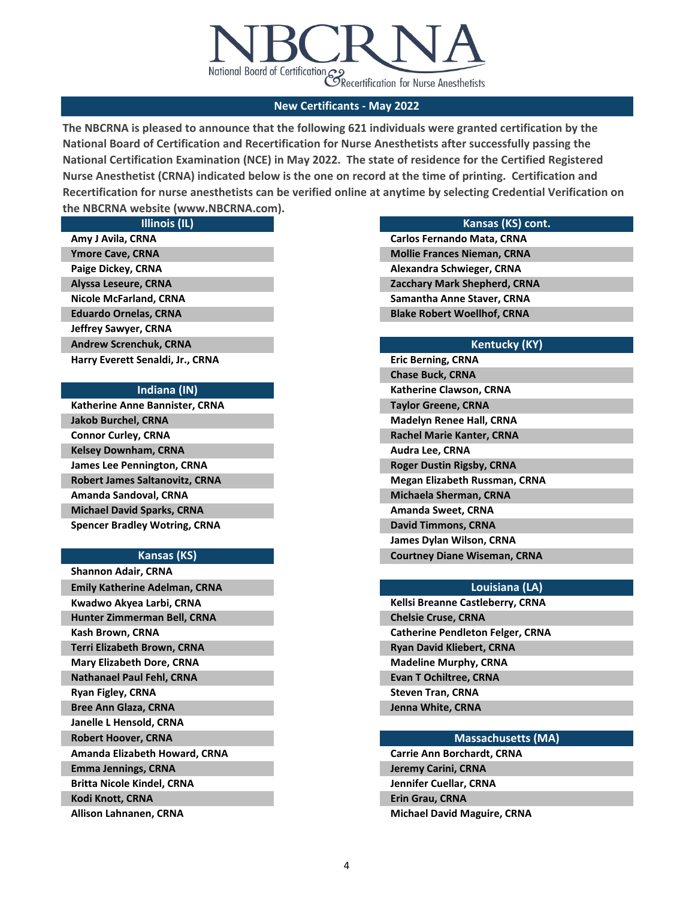

**The NBCRNA is pleased to announce that the following 621 individuals were granted certification by the National Board of Certification and Recertification for Nurse Anesthetists after successfully passing the National Certification Examination (NCE) in May 2022. The state of residence for the Certified Registered Nurse Anesthetist (CRNA) indicated below is the one on record at the time of printing. Certification and Recertification for nurse anesthetists can be verified online at anytime by selecting Credential Verification on the NBCRNA website (www.NBCRNA.com).** 

| <b>Illinois (IL)</b>             |
|----------------------------------|
| Amy J Avila, CRNA                |
| <b>Ymore Cave, CRNA</b>          |
| Paige Dickey, CRNA               |
| Alyssa Leseure, CRNA             |
| Nicole McFarland, CRNA           |
| <b>Eduardo Ornelas, CRNA</b>     |
| Jeffrey Sawyer, CRNA             |
| <b>Andrew Screnchuk, CRNA</b>    |
| Harry Everett Senaldi, Jr., CRNA |

## **Indiana (IN)**

| Katherine Anne Bannister, CRNA        |
|---------------------------------------|
| <b>Jakob Burchel, CRNA</b>            |
| <b>Connor Curley, CRNA</b>            |
| <b>Kelsey Downham, CRNA</b>           |
| <b>James Lee Pennington, CRNA</b>     |
| <b>Robert James Saltanovitz, CRNA</b> |
| Amanda Sandoval, CRNA                 |
| <b>Michael David Sparks, CRNA</b>     |
| <b>Spencer Bradley Wotring, CRNA</b>  |

### **Kansas (KS)**

### **Kansas (KS) cont.**

**Carlos Fernando Mata, CRNA Mollie Frances Nieman, CRNA Alexandra Schwieger, CRNA Zacchary Mark Shepherd, CRNA Samantha Anne Staver, CRNA Blake Robert Woellhof, CRNA**

## **Kentucky (KY)**

| <b>Eric Berning, CRNA</b>            |
|--------------------------------------|
| <b>Chase Buck, CRNA</b>              |
| <b>Katherine Clawson, CRNA</b>       |
| <b>Taylor Greene, CRNA</b>           |
| <b>Madelyn Renee Hall, CRNA</b>      |
| <b>Rachel Marie Kanter, CRNA</b>     |
| <b>Audra Lee, CRNA</b>               |
| <b>Roger Dustin Rigsby, CRNA</b>     |
| <b>Megan Elizabeth Russman, CRNA</b> |
| <b>Michaela Sherman, CRNA</b>        |
| Amanda Sweet, CRNA                   |
| <b>David Timmons, CRNA</b>           |
| James Dylan Wilson, CRNA             |
| <b>Courtney Diane Wiseman, CRNA</b>  |

## **Louisiana (LA)**

| <b>Kellsi Breanne Castleberry, CRNA</b> |
|-----------------------------------------|
| <b>Chelsie Cruse, CRNA</b>              |
| <b>Catherine Pendleton Felger, CRNA</b> |
| <b>Ryan David Kliebert, CRNA</b>        |
| <b>Madeline Murphy, CRNA</b>            |
| <b>Evan T Ochiltree, CRNA</b>           |
| <b>Steven Tran, CRNA</b>                |
| Jenna White, CRNA                       |
|                                         |

### **Massachusetts (MA)**

**Jennifer Cuellar, CRNA Erin Grau, CRNA Michael David Maguire, CRNA Carrie Ann Borchardt, CRNA Jeremy Carini, CRNA**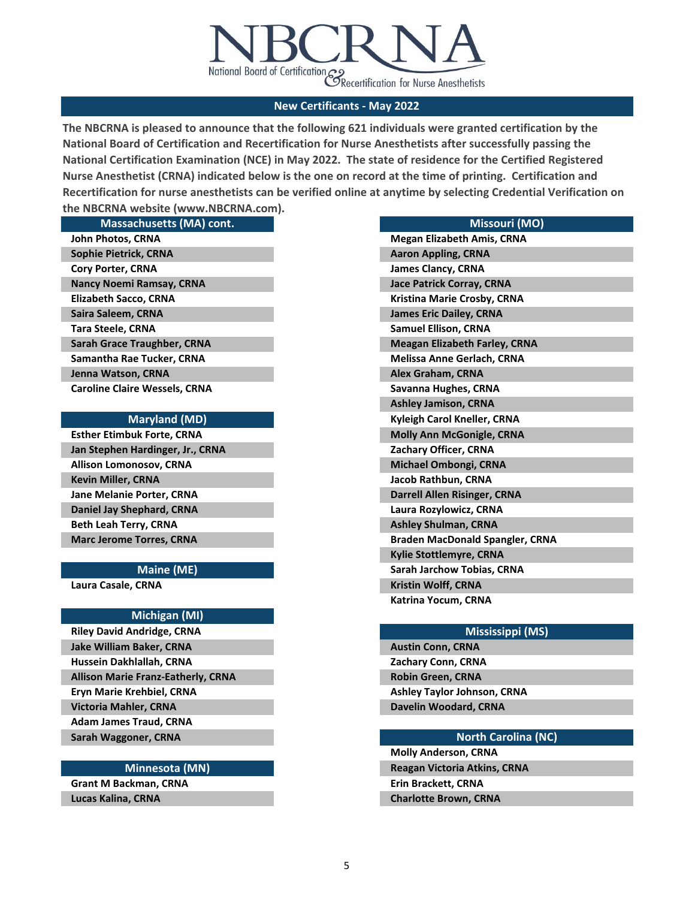

**The NBCRNA is pleased to announce that the following 621 individuals were granted certification by the National Board of Certification and Recertification for Nurse Anesthetists after successfully passing the National Certification Examination (NCE) in May 2022. The state of residence for the Certified Registered Nurse Anesthetist (CRNA) indicated below is the one on record at the time of printing. Certification and Recertification for nurse anesthetists can be verified online at anytime by selecting Credential Verification on the NBCRNA website (www.NBCRNA.com).** 

| <b>Massachusetts (MA) cont.</b>      |                       |
|--------------------------------------|-----------------------|
| John Photos, CRNA                    | Megan Elizabe         |
| <b>Sophie Pietrick, CRNA</b>         | <b>Aaron Appling</b>  |
| <b>Cory Porter, CRNA</b>             | James Clancy,         |
| <b>Nancy Noemi Ramsay, CRNA</b>      | Jace Patrick C        |
| <b>Elizabeth Sacco, CRNA</b>         | <b>Kristina Marie</b> |
| Saira Saleem, CRNA                   | James Eric Dai        |
| Tara Steele, CRNA                    | <b>Samuel Ellisor</b> |
| Sarah Grace Traughber, CRNA          | <b>Meagan Elizal</b>  |
| Samantha Rae Tucker, CRNA            | <b>Melissa Anne</b>   |
| Jenna Watson, CRNA                   | Alex Graham,          |
| <b>Caroline Claire Wessels, CRNA</b> | Savanna Hugh          |
|                                      | .                     |

#### **Maryland (MD)**

**Jan Stephen Hardinger, Jr., CRNA Esther Etimbuk Forte, CRNA Beth Leah Terry, CRNA Marc Jerome Torres, CRNA Allison Lomonosov, CRNA Kevin Miller, CRNA Jane Melanie Porter, CRNA Daniel Jay Shephard, CRNA**

### **Maine (ME)**

**Laura Casale, CRNA**

### **Michigan (MI)**

**Hussein Dakhlallah, CRNA Allison Marie Franz-Eatherly, CRNA Eryn Marie Krehbiel, CRNA Victoria Mahler, CRNA Adam James Traud, CRNA Sarah Waggoner, CRNA Riley David Andridge, CRNA Jake William Baker, CRNA**

#### **Minnesota (MN)**

**Grant M Backman, CRNA Lucas Kalina, CRNA**

### **Missouri (MO)**

| <b>Megan Elizabeth Amis, CRNA</b>      |
|----------------------------------------|
| <b>Aaron Appling, CRNA</b>             |
| <b>James Clancy, CRNA</b>              |
| <b>Jace Patrick Corray, CRNA</b>       |
| Kristina Marie Crosby, CRNA            |
| <b>James Eric Dailey, CRNA</b>         |
| <b>Samuel Ellison, CRNA</b>            |
| <b>Meagan Elizabeth Farley, CRNA</b>   |
| <b>Melissa Anne Gerlach, CRNA</b>      |
| <b>Alex Graham, CRNA</b>               |
| Savanna Hughes, CRNA                   |
| <b>Ashley Jamison, CRNA</b>            |
| Kyleigh Carol Kneller, CRNA            |
| <b>Molly Ann McGonigle, CRNA</b>       |
| Zachary Officer, CRNA                  |
| <b>Michael Ombongi, CRNA</b>           |
| Jacob Rathbun, CRNA                    |
| Darrell Allen Risinger, CRNA           |
| Laura Rozylowicz, CRNA                 |
| <b>Ashley Shulman, CRNA</b>            |
| <b>Braden MacDonald Spangler, CRNA</b> |
| <b>Kylie Stottlemyre, CRNA</b>         |
| <b>Sarah Jarchow Tobias, CRNA</b>      |
| Kristin Wolff, CRNA                    |
| Katrina Yocum, CRNA                    |

### **Mississippi (MS)**

**Zachary Conn, CRNA Robin Green, CRNA Ashley Taylor Johnson, CRNA Davelin Woodard, CRNA Austin Conn, CRNA**

### **North Carolina (NC)**

**Molly Anderson, CRNA Reagan Victoria Atkins, CRNA Erin Brackett, CRNA Charlotte Brown, CRNA**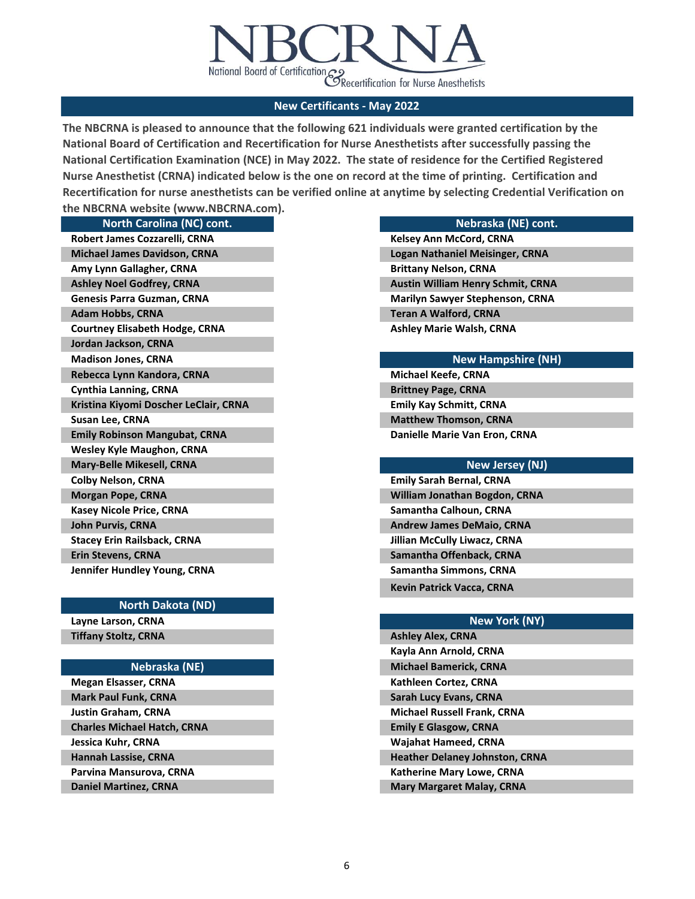

**The NBCRNA is pleased to announce that the following 621 individuals were granted certification by the National Board of Certification and Recertification for Nurse Anesthetists after successfully passing the National Certification Examination (NCE) in May 2022. The state of residence for the Certified Registered Nurse Anesthetist (CRNA) indicated below is the one on record at the time of printing. Certification and Recertification for nurse anesthetists can be verified online at anytime by selecting Credential Verification on the NBCRNA website (www.NBCRNA.com).** 

## **North Carolina (NC) cont.**

| Robert James Cozzarelli, CRNA         |
|---------------------------------------|
| <b>Michael James Davidson, CRNA</b>   |
| Amy Lynn Gallagher, CRNA              |
| <b>Ashley Noel Godfrey, CRNA</b>      |
| <b>Genesis Parra Guzman, CRNA</b>     |
| <b>Adam Hobbs, CRNA</b>               |
| <b>Courtney Elisabeth Hodge, CRNA</b> |
| Jordan Jackson, CRNA                  |
| <b>Madison Jones, CRNA</b>            |
| Rebecca Lynn Kandora, CRNA            |
| <b>Cynthia Lanning, CRNA</b>          |
| Kristina Kiyomi Doscher LeClair, CRNA |
| Susan Lee, CRNA                       |
| <b>Emily Robinson Mangubat, CRNA</b>  |
| <b>Wesley Kyle Maughon, CRNA</b>      |
| Mary-Belle Mikesell, CRNA             |
| <b>Colby Nelson, CRNA</b>             |
| <b>Morgan Pope, CRNA</b>              |
| <b>Kasey Nicole Price, CRNA</b>       |
| <b>John Purvis, CRNA</b>              |
| <b>Stacey Erin Railsback, CRNA</b>    |
| <b>Erin Stevens, CRNA</b>             |
| Jennifer Hundley Young, CRNA          |

### **North Dakota (ND)**

**Layne Larson, CRNA Tiffany Stoltz, CRNA**

### **Nebraska (NE)**

**Jessica Kuhr, CRNA Hannah Lassise, CRNA Parvina Mansurova, CRNA Daniel Martinez, CRNA Megan Elsasser, CRNA Mark Paul Funk, CRNA Justin Graham, CRNA Charles Michael Hatch, CRNA**

### **Nebraska (NE) cont.**

**Ashley Marie Walsh, CRNA Logan Nathaniel Meisinger, CRNA Brittany Nelson, CRNA Austin William Henry Schmit, CRNA Marilyn Sawyer Stephenson, CRNA Teran A Walford, CRNA Kelsey Ann McCord, CRNA**

### **New Hampshire (NH)**

**Matthew Thomson, CRNA Danielle Marie Van Eron, CRNA Michael Keefe, CRNA Brittney Page, CRNA Emily Kay Schmitt, CRNA**

### **New Jersey (NJ)**

**William Jonathan Bogdon, CRNA Emily Sarah Bernal, CRNA Samantha Calhoun, CRNA Andrew James DeMaio, CRNA Jillian McCully Liwacz, CRNA Samantha Offenback, CRNA Samantha Simmons, CRNA Kevin Patrick Vacca, CRNA**

## **New York (NY)**

| <b>Ashley Alex, CRNA</b>              |
|---------------------------------------|
| Kayla Ann Arnold, CRNA                |
| <b>Michael Bamerick, CRNA</b>         |
| Kathleen Cortez, CRNA                 |
| <b>Sarah Lucy Evans, CRNA</b>         |
| <b>Michael Russell Frank, CRNA</b>    |
| <b>Emily E Glasgow, CRNA</b>          |
| Wajahat Hameed, CRNA                  |
| <b>Heather Delaney Johnston, CRNA</b> |
| <b>Katherine Mary Lowe, CRNA</b>      |
| <b>Mary Margaret Malay, CRNA</b>      |
|                                       |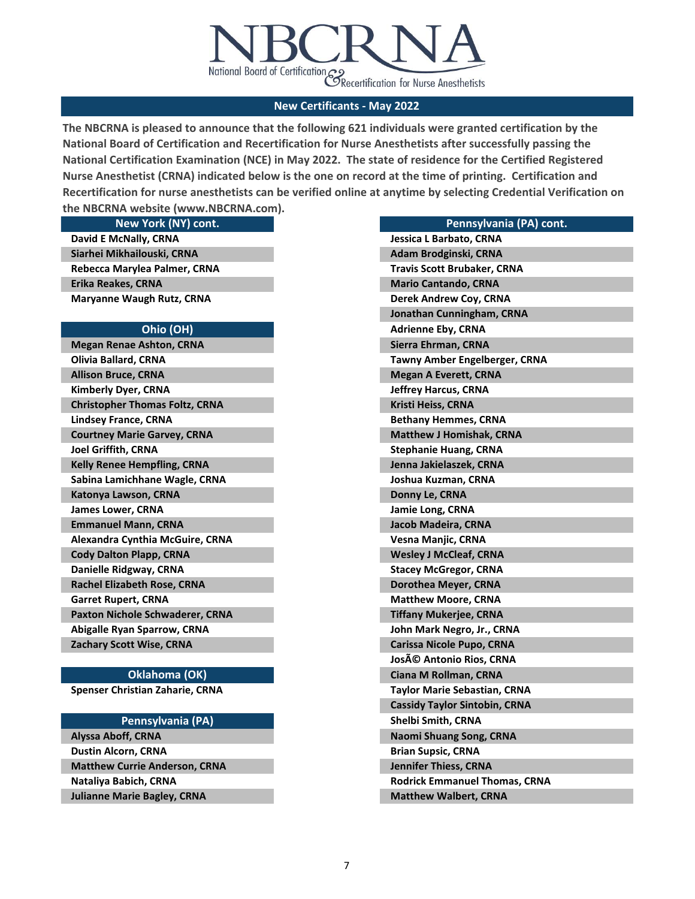

**The NBCRNA is pleased to announce that the following 621 individuals were granted certification by the National Board of Certification and Recertification for Nurse Anesthetists after successfully passing the National Certification Examination (NCE) in May 2022. The state of residence for the Certified Registered Nurse Anesthetist (CRNA) indicated below is the one on record at the time of printing. Certification and Recertification for nurse anesthetists can be verified online at anytime by selecting Credential Verification on the NBCRNA website (www.NBCRNA.com).** 

**New York (NY) cont. Kelly Renee Hempfling, CRNA Sabina Lamichhane Wagle, CRNA Katonya Lawson, CRNA James Lower, CRNA David E McNally, CRNA Siarhei Mikhailouski, CRNA Rebecca Marylea Palmer, CRNA Erika Reakes, CRNA Maryanne Waugh Rutz, CRNA Ohio (OH) Megan Renae Ashton, CRNA Olivia Ballard, CRNA Allison Bruce, CRNA Kimberly Dyer, CRNA Christopher Thomas Foltz, CRNA Lindsey France, CRNA Courtney Marie Garvey, CRNA Joel Griffith, CRNA Garret Rupert, CRNA Paxton Nichole Schwaderer, CRNA Abigalle Ryan Sparrow, CRNA Zachary Scott Wise, CRNA Emmanuel Mann, CRNA Alexandra Cynthia McGuire, CRNA Cody Dalton Plapp, CRNA Danielle Ridgway, CRNA Rachel Elizabeth Rose, CRNA**

### **Oklahoma (OK)**

**Spenser Christian Zaharie, CRNA**

### **Pennsylvania (PA)**

**Dustin Alcorn, CRNA Matthew Currie Anderson, CRNA Nataliya Babich, CRNA Julianne Marie Bagley, CRNA Alyssa Aboff, CRNA**

| Pennsylvania (PA) cont.              |
|--------------------------------------|
| Jessica L Barbato, CRNA              |
| Adam Brodginski, CRNA                |
| <b>Travis Scott Brubaker, CRNA</b>   |
| <b>Mario Cantando, CRNA</b>          |
| Derek Andrew Coy, CRNA               |
| Jonathan Cunningham, CRNA            |
| <b>Adrienne Eby, CRNA</b>            |
| Sierra Ehrman, CRNA                  |
| <b>Tawny Amber Engelberger, CRNA</b> |
| <b>Megan A Everett, CRNA</b>         |
| <b>Jeffrey Harcus, CRNA</b>          |
| Kristi Heiss, CRNA                   |
| <b>Bethany Hemmes, CRNA</b>          |
| <b>Matthew J Homishak, CRNA</b>      |
| <b>Stephanie Huang, CRNA</b>         |
| Jenna Jakielaszek, CRNA              |
| Joshua Kuzman, CRNA                  |
| Donny Le, CRNA                       |
| <b>Jamie Long, CRNA</b>              |
| Jacob Madeira, CRNA                  |
| Vesna Manjic, CRNA                   |
| <b>Wesley J McCleaf, CRNA</b>        |
| <b>Stacey McGregor, CRNA</b>         |
| Dorothea Meyer, CRNA                 |
| <b>Matthew Moore, CRNA</b>           |
| <b>Tiffany Mukerjee, CRNA</b>        |
| John Mark Negro, Jr., CRNA           |
| <b>Carissa Nicole Pupo, CRNA</b>     |
| <b>JosA© Antonio Rios, CRNA</b>      |
| Ciana M Rollman, CRNA                |
| <b>Taylor Marie Sebastian, CRNA</b>  |
| <b>Cassidy Taylor Sintobin, CRNA</b> |
| Shelbi Smith, CRNA                   |
| Naomi Shuang Song, CRNA              |
| <b>Brian Supsic, CRNA</b>            |
| <b>Jennifer Thiess, CRNA</b>         |
| <b>Rodrick Emmanuel Thomas, CRNA</b> |
| <b>Matthew Walbert, CRNA</b>         |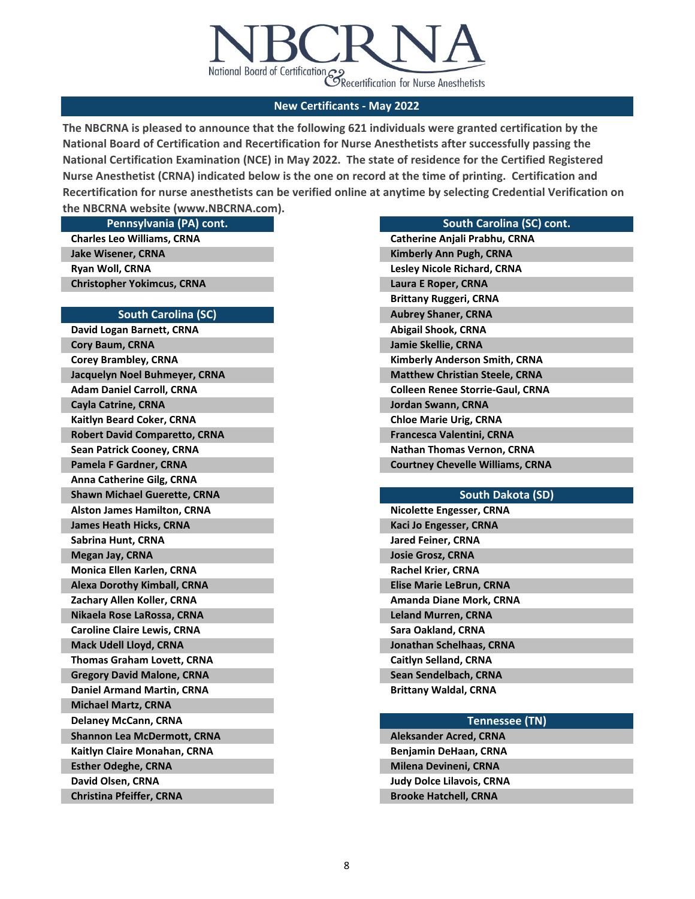

**The NBCRNA is pleased to announce that the following 621 individuals were granted certification by the National Board of Certification and Recertification for Nurse Anesthetists after successfully passing the National Certification Examination (NCE) in May 2022. The state of residence for the Certified Registered Nurse Anesthetist (CRNA) indicated below is the one on record at the time of printing. Certification and Recertification for nurse anesthetists can be verified online at anytime by selecting Credential Verification on the NBCRNA website (www.NBCRNA.com).** 

**Pennsylvania (PA) cont.**

**Charles Leo Williams, CRNA Jake Wisener, CRNA Ryan Woll, CRNA Christopher Yokimcus, CRNA**

#### **South Carolina (SC)**

**David Logan Barnett, CRNA Cory Baum, CRNA Corey Brambley, CRNA Jacquelyn Noel Buhmeyer, CRNA Adam Daniel Carroll, CRNA Cayla Catrine, CRNA Kaitlyn Beard Coker, CRNA Robert David Comparetto, CRNA Sean Patrick Cooney, CRNA Pamela F Gardner, CRNA Anna Catherine Gilg, CRNA Shawn Michael Guerette, CRNA Alston James Hamilton, CRNA Zachary Allen Koller, CRNA Nikaela Rose LaRossa, CRNA Caroline Claire Lewis, CRNA Mack Udell Lloyd, CRNA Thomas Graham Lovett, CRNA James Heath Hicks, CRNA Sabrina Hunt, CRNA Megan Jay, CRNA Monica Ellen Karlen, CRNA Alexa Dorothy Kimball, CRNA Kaitlyn Claire Monahan, CRNA Esther Odeghe, CRNA David Olsen, CRNA Christina Pfeiffer, CRNA Gregory David Malone, CRNA Daniel Armand Martin, CRNA Michael Martz, CRNA Delaney McCann, CRNA Shannon Lea McDermott, CRNA Aleksander Acred, CRNA Aleksander Acred, CRNA** 

## **South Carolina (SC) cont. Catherine Anjali Prabhu, CRNA Jordan Swann, CRNA Chloe Marie Urig, CRNA Francesca Valentini, CRNA Nathan Thomas Vernon, CRNA Courtney Chevelle Williams, CRNA Abigail Shook, CRNA Jamie Skellie, CRNA Kimberly Anderson Smith, CRNA Matthew Christian Steele, CRNA Colleen Renee Storrie-Gaul, CRNA Kimberly Ann Pugh, CRNA Lesley Nicole Richard, CRNA Laura E Roper, CRNA Brittany Ruggeri, CRNA Aubrey Shaner, CRNA**

### **South Dakota (SD)**

| <b>Nicolette Engesser, CRNA</b> |
|---------------------------------|
| Kaci Jo Engesser, CRNA          |
| <b>Jared Feiner, CRNA</b>       |
| <b>Josie Grosz, CRNA</b>        |
| <b>Rachel Krier, CRNA</b>       |
| <b>Elise Marie LeBrun, CRNA</b> |
| Amanda Diane Mork, CRNA         |
| <b>Leland Murren, CRNA</b>      |
| Sara Oakland, CRNA              |
| Jonathan Schelhaas, CRNA        |
| Caitlyn Selland, CRNA           |
| Sean Sendelbach, CRNA           |
| <b>Brittany Waldal, CRNA</b>    |

#### **Tennessee (TN)**

**Benjamin DeHaan, CRNA Milena Devineni, CRNA Judy Dolce Lilavois, CRNA Brooke Hatchell, CRNA**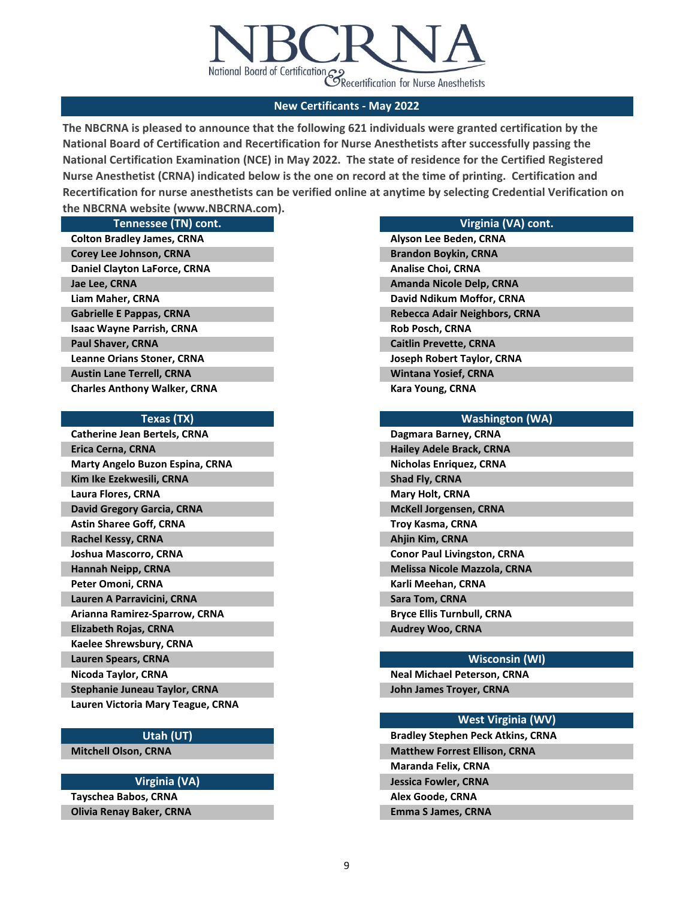

**The NBCRNA is pleased to announce that the following 621 individuals were granted certification by the National Board of Certification and Recertification for Nurse Anesthetists after successfully passing the National Certification Examination (NCE) in May 2022. The state of residence for the Certified Registered Nurse Anesthetist (CRNA) indicated below is the one on record at the time of printing. Certification and Recertification for nurse anesthetists can be verified online at anytime by selecting Credential Verification on the NBCRNA website (www.NBCRNA.com).** 

|  |   | Tennessee (TN) cont |       |  |
|--|---|---------------------|-------|--|
|  | . |                     | ----- |  |

**Liam Maher, CRNA Gabrielle E Pappas, CRNA Isaac Wayne Parrish, CRNA Paul Shaver, CRNA Leanne Orians Stoner, CRNA Colton Bradley James, CRNA Corey Lee Johnson, CRNA Daniel Clayton LaForce, CRNA Jae Lee, CRNA Austin Lane Terrell, CRNA Charles Anthony Walker, CRNA**

#### **Texas (TX)**

**Arianna Ramirez-Sparrow, CRNA Elizabeth Rojas, CRNA Kaelee Shrewsbury, CRNA Catherine Jean Bertels, CRNA Erica Cerna, CRNA Marty Angelo Buzon Espina, CRNA Kim Ike Ezekwesili, CRNA Laura Flores, CRNA David Gregory Garcia, CRNA Astin Sharee Goff, CRNA Rachel Kessy, CRNA Joshua Mascorro, CRNA Hannah Neipp, CRNA Lauren Spears, CRNA Nicoda Taylor, CRNA Stephanie Juneau Taylor, CRNA Lauren Victoria Mary Teague, CRNA Peter Omoni, CRNA Lauren A Parravicini, CRNA**

### **Utah (UT)**

**Mitchell Olson, CRNA**

### **Virginia (VA)**

**Tayschea Babos, CRNA Olivia Renay Baker, CRNA**

## **Virginia (VA) cont.**

**David Ndikum Moffor, CRNA Rebecca Adair Neighbors, CRNA Rob Posch, CRNA Caitlin Prevette, CRNA Joseph Robert Taylor, CRNA Wintana Yosief, CRNA Kara Young, CRNA Alyson Lee Beden, CRNA Brandon Boykin, CRNA Analise Choi, CRNA Amanda Nicole Delp, CRNA**

### **Washington (WA)**

| Dagmara Barney, CRNA                |
|-------------------------------------|
| <b>Hailey Adele Brack, CRNA</b>     |
| <b>Nicholas Enriquez, CRNA</b>      |
| <b>Shad Fly, CRNA</b>               |
| <b>Mary Holt, CRNA</b>              |
| <b>McKell Jorgensen, CRNA</b>       |
| Troy Kasma, CRNA                    |
| Ahjin Kim, CRNA                     |
| <b>Conor Paul Livingston, CRNA</b>  |
| <b>Melissa Nicole Mazzola, CRNA</b> |
| Karli Meehan, CRNA                  |
| Sara Tom, CRNA                      |
| <b>Bryce Ellis Turnbull, CRNA</b>   |
| <b>Audrey Woo, CRNA</b>             |

#### **Wisconsin (WI)**

**Neal Michael Peterson, CRNA John James Troyer, CRNA**

### **West Virginia (WV)**

**Bradley Stephen Peck Atkins, CRNA Matthew Forrest Ellison, CRNA Maranda Felix, CRNA Jessica Fowler, CRNA**

# **Alex Goode, CRNA**

**Emma S James, CRNA**